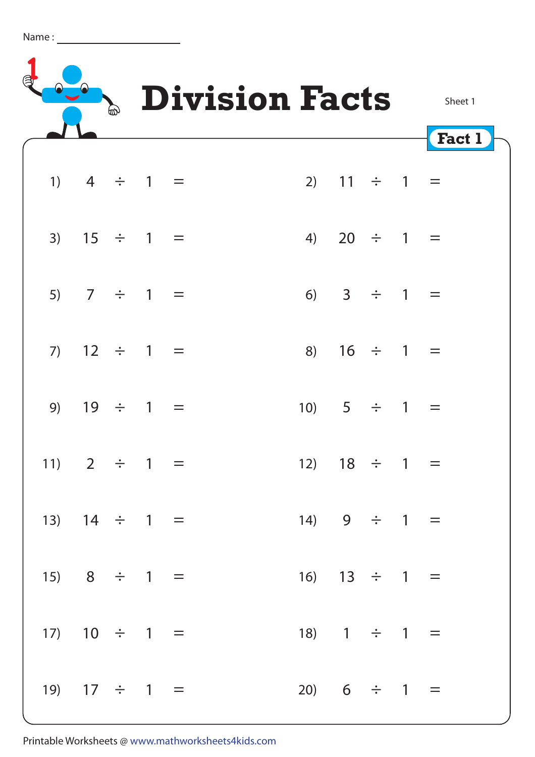| Name |  |  |
|------|--|--|
|      |  |  |